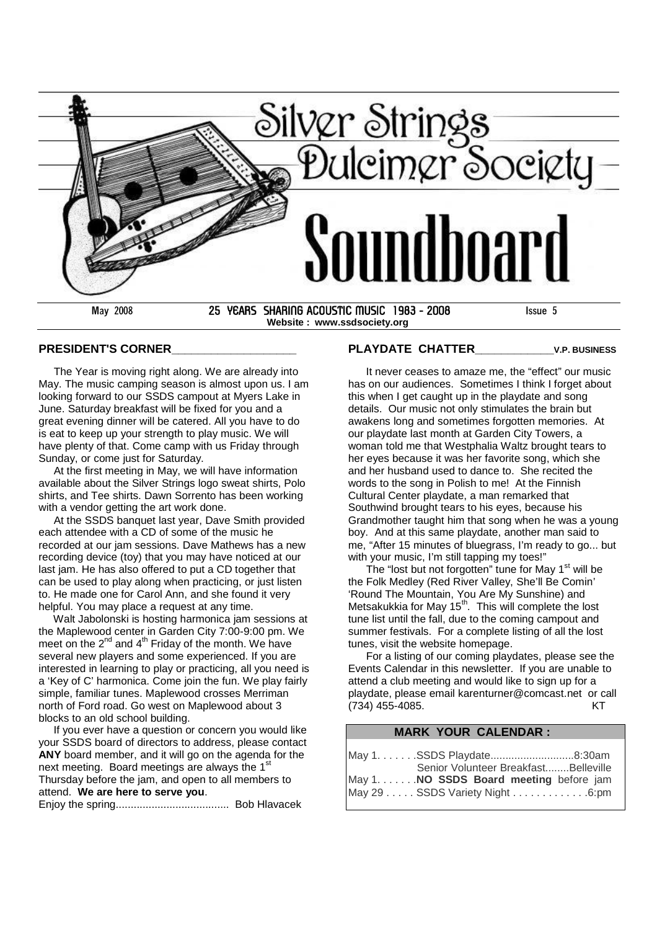

#### **PRESIDENT'S CORNER\_\_\_\_\_\_\_\_\_\_\_\_\_\_\_\_\_\_\_**

The Year is moving right along. We are already into May. The music camping season is almost upon us. I am looking forward to our SSDS campout at Myers Lake in June. Saturday breakfast will be fixed for you and a great evening dinner will be catered. All you have to do is eat to keep up your strength to play music. We will have plenty of that. Come camp with us Friday through Sunday, or come just for Saturday.

At the first meeting in May, we will have information available about the Silver Strings logo sweat shirts, Polo shirts, and Tee shirts. Dawn Sorrento has been working with a vendor getting the art work done.

At the SSDS banquet last year, Dave Smith provided each attendee with a CD of some of the music he recorded at our jam sessions. Dave Mathews has a new recording device (toy) that you may have noticed at our last jam. He has also offered to put a CD together that can be used to play along when practicing, or just listen to. He made one for Carol Ann, and she found it very helpful. You may place a request at any time.

Walt Jabolonski is hosting harmonica jam sessions at the Maplewood center in Garden City 7:00-9:00 pm. We meet on the  $2^{nd}$  and  $4^{th}$  Friday of the month. We have several new players and some experienced. If you are interested in learning to play or practicing, all you need is a 'Key of C' harmonica. Come join the fun. We play fairly simple, familiar tunes. Maplewood crosses Merriman north of Ford road. Go west on Maplewood about 3 blocks to an old school building.

If you ever have a question or concern you would like your SSDS board of directors to address, please contact **ANY** board member, and it will go on the agenda for the next meeting. Board meetings are always the 1<sup>st</sup> Thursday before the jam, and open to all members to attend. **We are here to serve you**. Enjoy the spring...................................... Bob Hlavacek

#### **PLAYDATE CHATTER\_\_\_\_\_\_\_\_\_\_\_\_V.P. BUSINESS**

It never ceases to amaze me, the "effect" our music has on our audiences. Sometimes I think I forget about this when I get caught up in the playdate and song details. Our music not only stimulates the brain but awakens long and sometimes forgotten memories. At our playdate last month at Garden City Towers, a woman told me that Westphalia Waltz brought tears to her eyes because it was her favorite song, which she and her husband used to dance to. She recited the words to the song in Polish to me! At the Finnish Cultural Center playdate, a man remarked that Southwind brought tears to his eyes, because his Grandmother taught him that song when he was a young boy. And at this same playdate, another man said to me, "After 15 minutes of bluegrass, I'm ready to go... but

with your music, I'm still tapping my toes!" The "lost but not forgotten" tune for May  $1<sup>st</sup>$  will be the Folk Medley (Red River Valley, She'll Be Comin' 'Round The Mountain, You Are My Sunshine) and Metsakukkia for May 15<sup>th</sup>. This will complete the lost tune list until the fall, due to the coming campout and summer festivals. For a complete listing of all the lost tunes, visit the website homepage.

For a listing of our coming playdates, please see the Events Calendar in this newsletter. If you are unable to attend a club meeting and would like to sign up for a playdate, please email karenturner@comcast.net or call (734) 455-4085. KT

#### **MARK YOUR CALENDAR :**

| May 1. SSDS Playdate8:30am              |  |
|-----------------------------------------|--|
| Senior Volunteer BreakfastBelleville    |  |
| May 1. NO SSDS Board meeting before jam |  |
| May 29 SSDS Variety Night 6:pm          |  |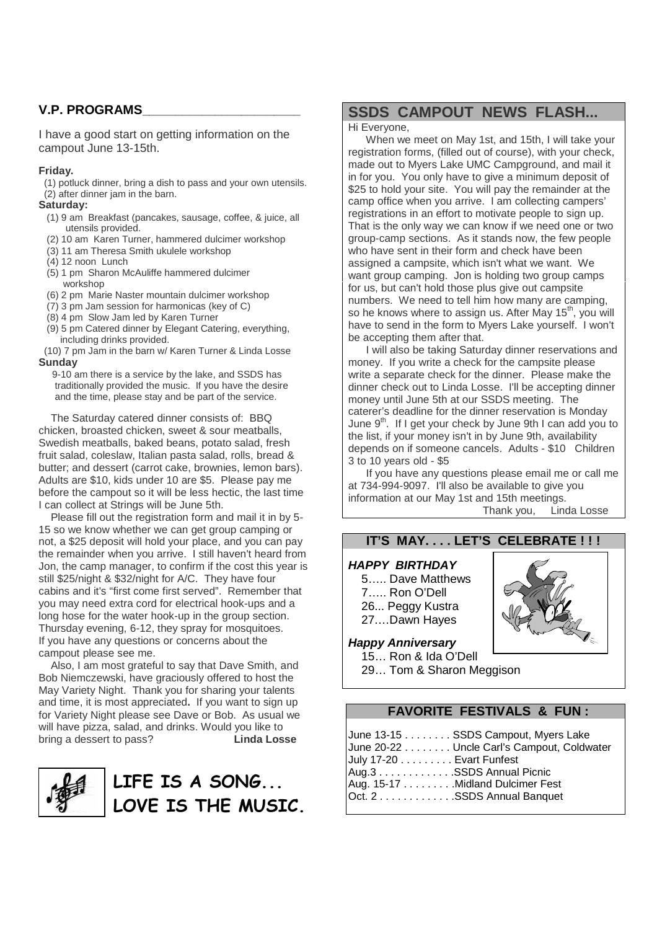## **V.P. PROGRAMS\_\_\_\_\_\_\_\_\_\_\_\_\_\_\_\_\_\_\_\_\_\_\_\_**

I have a good start on getting information on the campout June 13-15th.

#### **Friday.**

(1) potluck dinner, bring a dish to pass and your own utensils. (2) after dinner jam in the barn.

#### **Saturday:**

- (1) 9 am Breakfast (pancakes, sausage, coffee, & juice, all utensils provided.
- (2) 10 am Karen Turner, hammered dulcimer workshop
- (3) 11 am Theresa Smith ukulele workshop
- $(4)$  12 noon Lunch
- (5) 1 pm Sharon McAuliffe hammered dulcimer workshop
- (6) 2 pm Marie Naster mountain dulcimer workshop
- (7) 3 pm Jam session for harmonicas (key of C)
- (8) 4 pm Slow Jam led by Karen Turner
- (9) 5 pm Catered dinner by Elegant Catering, everything, including drinks provided.
- (10) 7 pm Jam in the barn w/ Karen Turner & Linda Losse **Sunday**

9-10 am there is a service by the lake, and SSDS has traditionally provided the music. If you have the desire and the time, please stay and be part of the service.

The Saturday catered dinner consists of: BBQ chicken, broasted chicken, sweet & sour meatballs, Swedish meatballs, baked beans, potato salad, fresh fruit salad, coleslaw, Italian pasta salad, rolls, bread & butter; and dessert (carrot cake, brownies, lemon bars). Adults are \$10, kids under 10 are \$5. Please pay me before the campout so it will be less hectic, the last time I can collect at Strings will be June 5th.

Please fill out the registration form and mail it in by 5- 15 so we know whether we can get group camping or not, a \$25 deposit will hold your place, and you can pay the remainder when you arrive. I still haven't heard from Jon, the camp manager, to confirm if the cost this year is still \$25/night & \$32/night for A/C. They have four cabins and it's "first come first served". Remember that you may need extra cord for electrical hook-ups and a long hose for the water hook-up in the group section. Thursday evening, 6-12, they spray for mosquitoes. If you have any questions or concerns about the campout please see me.

Also, I am most grateful to say that Dave Smith, and Bob Niemczewski, have graciously offered to host the May Variety Night. Thank you for sharing your talents and time, it is most appreciated**.** If you want to sign up for Variety Night please see Dave or Bob. As usual we will have pizza, salad, and drinks. Would you like to bring a dessert to pass? **Linda Losse**



# **LIFE IS A SONG... LOVE IS THE MUSIC.**

## **SSDS CAMPOUT NEWS FLASH...**

#### Hi Everyone,

When we meet on May 1st, and 15th, I will take your registration forms, (filled out of course), with your check, made out to Myers Lake UMC Campground, and mail it in for you. You only have to give a minimum deposit of \$25 to hold your site. You will pay the remainder at the camp office when you arrive. I am collecting campers' registrations in an effort to motivate people to sign up. That is the only way we can know if we need one or two group-camp sections. As it stands now, the few people who have sent in their form and check have been assigned a campsite, which isn't what we want. We want group camping. Jon is holding two group camps for us, but can't hold those plus give out campsite numbers. We need to tell him how many are camping, so he knows where to assign us. After May  $15<sup>th</sup>$ , you will have to send in the form to Myers Lake yourself. I won't be accepting them after that.

I will also be taking Saturday dinner reservations and money. If you write a check for the campsite please write a separate check for the dinner. Please make the dinner check out to Linda Losse. I'll be accepting dinner money until June 5th at our SSDS meeting. The caterer's deadline for the dinner reservation is Monday June 9<sup>th</sup>. If I get your check by June 9th I can add you to the list, if your money isn't in by June 9th, availability depends on if someone cancels. Adults - \$10 Children 3 to 10 years old - \$5

If you have any questions please email me or call me at 734-994-9097. I'll also be available to give you information at our May 1st and 15th meetings. Thank you, Linda Losse

# **IT'S MAY. . . . LET'S CELEBRATE ! ! !**

### *HAPPY BIRTHDAY*

5….. Dave Matthews 7….. Ron O'Dell 26... Peggy Kustra 27.…Dawn Hayes



*Happy Anniversary*

15… Ron & Ida O'Dell 29… Tom & Sharon Meggison

**FAVORITE FESTIVALS & FUN :**

| June 13-15 SSDS Campout, Myers Lake        |
|--------------------------------------------|
| June 20-22 Uncle Carl's Campout, Coldwater |
| July 17-20 Evart Funfest                   |
| Aug.3 SSDS Annual Picnic                   |
| Aug. 15-17 Midland Dulcimer Fest           |
| Oct. 2SSDS Annual Banquet                  |
|                                            |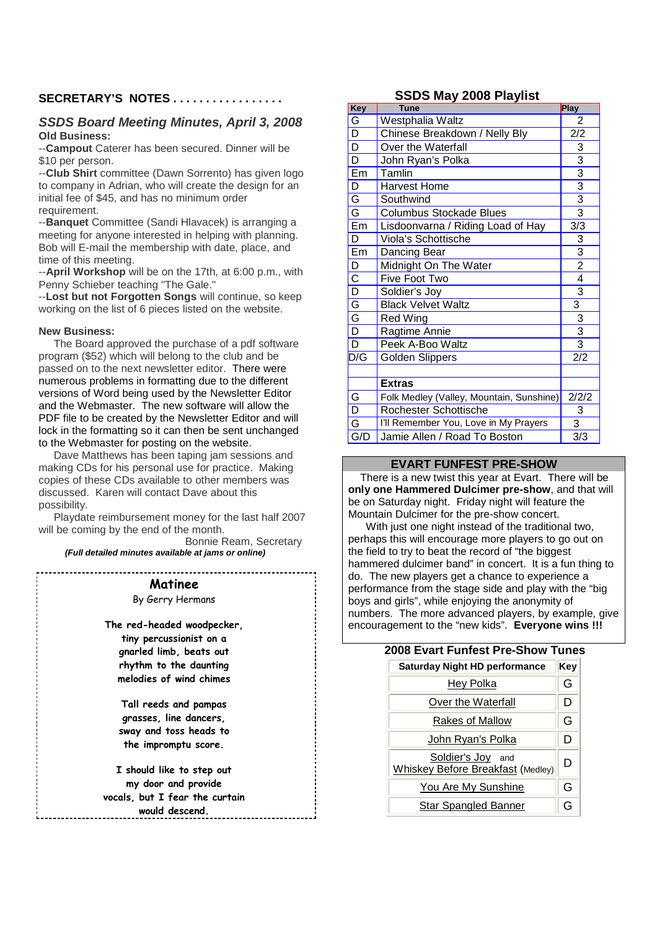### **SECRETARY'S NOTES . . . . . . . . . . . . . . . . .**

#### *SSDS Board Meeting Minutes, April 3, 2008* **Old Business:**

--**Campout** Caterer has been secured. Dinner will be \$10 per person.

--**Club Shirt** committee (Dawn Sorrento) has given logo to company in Adrian, who will create the design for an initial fee of \$45, and has no minimum order requirement.

--**Banquet** Committee (Sandi Hlavacek) is arranging a meeting for anyone interested in helping with planning. Bob will E-mail the membership with date, place, and time of this meeting.

--**April Workshop** will be on the 17th, at 6:00 p.m., with Penny Schieber teaching "The Gale."

--**Lost but not Forgotten Songs** will continue, so keep working on the list of 6 pieces listed on the website.

#### **New Business:**

The Board approved the purchase of a pdf software program (\$52) which will belong to the club and be passed on to the next newsletter editor. There were numerous problems in formatting due to the different versions of Word being used by the Newsletter Editor and the Webmaster. The new software will allow the PDF file to be created by the Newsletter Editor and will lock in the formatting so it can then be sent unchanged to the Webmaster for posting on the website.

Dave Matthews has been taping jam sessions and making CDs for his personal use for practice. Making copies of these CDs available to other members was discussed. Karen will contact Dave about this possibility.

Playdate reimbursement money for the last half 2007 will be coming by the end of the month.

> Bonnie Ream, Secretary *(Full detailed minutes available at jams or online)*

**Matinee** By Gerry Hermans

**The red-headed woodpecker, tiny percussionist on a gnarled limb, beats out rhythm to the daunting melodies of wind chimes**

> **Tall reeds and pampas grasses, line dancers, sway and toss heads to the impromptu score.**

**I should like to step out my door and provide vocals, but I fear the curtain would descend.**

#### **SSDS May 2008 Playlist**

| <b>Key</b>              | <b>Tune</b>                              | Play                        |
|-------------------------|------------------------------------------|-----------------------------|
| G                       | Westphalia Waltz                         | 2                           |
| $\overline{\mathsf{D}}$ | Chinese Breakdown / Nelly Bly            | 2/2                         |
| D                       | Over the Waterfall                       | 3                           |
| D                       | John Ryan's Polka                        | $\overline{3}$              |
| Em                      | Tamlin                                   | $\frac{3}{3}$ $\frac{3}{3}$ |
| D                       | <b>Harvest Home</b>                      |                             |
| $\overline{\mathsf{G}}$ | Southwind                                |                             |
| $\overline{\mathsf{G}}$ | <b>Columbus Stockade Blues</b>           |                             |
| Em                      | Lisdoonvarna / Riding Load of Hay        | 3/3                         |
| D                       | Viola's Schottische                      | $\frac{3}{3}$               |
| Em                      | Dancing Bear                             |                             |
| D                       | Midnight On The Water                    | $\overline{2}$              |
| $\overline{\text{c}}$   | Five Foot Two                            | $\overline{4}$              |
| $\overline{D}$          | Soldier's Joy                            | $\overline{3}$              |
| $\overline{G}$          | <b>Black Velvet Waltz</b>                | 3                           |
| $rac{G}{D}$             | <b>Red Wing</b>                          | $\overline{3}$              |
|                         | Ragtime Annie                            | $\overline{3}$              |
| $\overline{D}$          | Peek A-Boo Waltz                         | $\overline{3}$              |
| D/G                     | <b>Golden Slippers</b>                   | 2/2                         |
|                         |                                          |                             |
|                         | <b>Extras</b>                            |                             |
| G                       | Folk Medley (Valley, Mountain, Sunshine) | 2/2/2                       |
| $\overline{\mathsf{D}}$ | Rochester Schottische                    | 3                           |
| $\overline{\mathsf{G}}$ | I'll Remember You, Love in My Prayers    | 3                           |
| G/D                     | Jamie Allen / Road To Boston             | $\overline{3/3}$            |

#### **EVART FUNFEST PRE-SHOW**

There is a new twist this year at Evart. There will be **only one Hammered Dulcimer pre-show**, and that will be on Saturday night. Friday night will feature the Mountain Dulcimer for the pre-show concert.

With just one night instead of the traditional two, perhaps this will encourage more players to go out on the field to try to beat the record of "the biggest hammered dulcimer band" in concert. It is a fun thing to do. The new players get a chance to experience a performance from the stage side and play with the "big boys and girls", while enjoying the anonymity of numbers. The more advanced players, by example, give encouragement to the "new kids". **Everyone wins !!!**

#### **2008 Evart Funfest Pre-Show Tunes**

| <b>Saturday Night HD performance</b>                   | Key |
|--------------------------------------------------------|-----|
| Hey Polka                                              | G   |
| Over the Waterfall                                     | D   |
| Rakes of Mallow                                        | G   |
| John Ryan's Polka                                      | D   |
| Soldier's Joy and<br>Whiskey Before Breakfast (Medley) | D   |
| You Are My Sunshine                                    | G   |
| <b>Star Spangled Banner</b>                            | G   |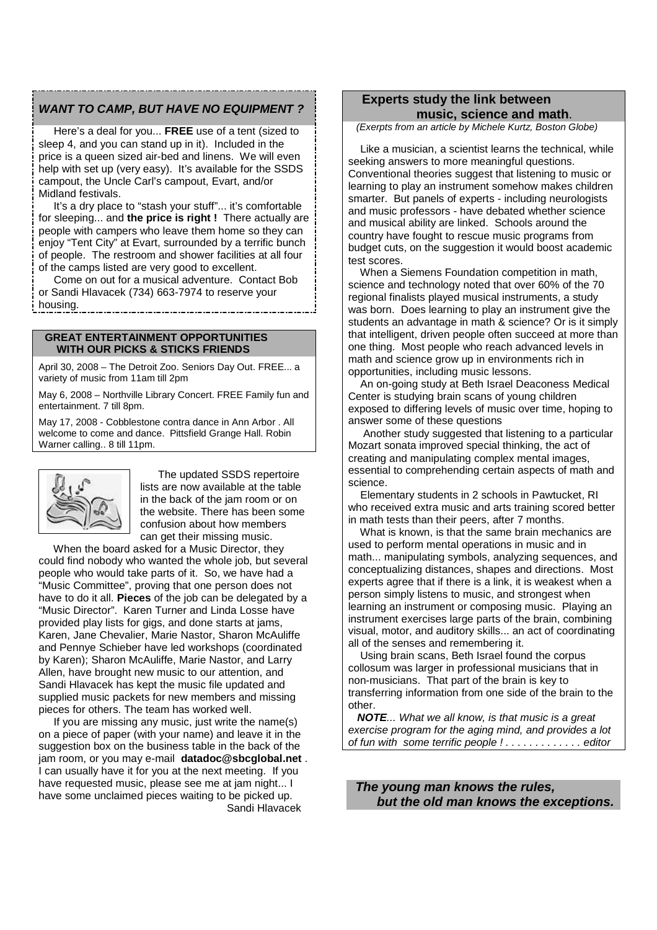#### *WANT TO CAMP, BUT HAVE NO EQUIPMENT ?*

Here's a deal for you... **FREE** use of a tent (sized to sleep 4, and you can stand up in it). Included in the price is a queen sized air-bed and linens. We will even help with set up (very easy). It's available for the SSDS campout, the Uncle Carl's campout, Evart, and/or Midland festivals.

It's a dry place to "stash your stuff"... it's comfortable for sleeping... and **the price is right !** There actually are people with campers who leave them home so they can enjoy "Tent City" at Evart, surrounded by a terrific bunch of people. The restroom and shower facilities at all four of the camps listed are very good to excellent.

Come on out for a musical adventure. Contact Bob or Sandi Hlavacek (734) 663-7974 to reserve your housing.

#### **GREAT ENTERTAINMENT OPPORTUNITIES WITH OUR PICKS & STICKS FRIENDS**

April 30, 2008 – The Detroit Zoo. Seniors Day Out. FREE... a variety of music from 11am till 2pm

May 6, 2008 – Northville Library Concert. FREE Family fun and entertainment. 7 till 8pm.

May 17, 2008 - Cobblestone contra dance in Ann Arbor . All welcome to come and dance. Pittsfield Grange Hall. Robin Warner calling.. 8 till 11pm.



The updated SSDS repertoire lists are now available at the table in the back of the jam room or on the website. There has been some confusion about how members can get their missing music.

When the board asked for a Music Director, they could find nobody who wanted the whole job, but several people who would take parts of it. So, we have had a "Music Committee", proving that one person does not have to do it all. **Pieces** of the job can be delegated by a "Music Director". Karen Turner and Linda Losse have provided play lists for gigs, and done starts at jams, Karen, Jane Chevalier, Marie Nastor, Sharon McAuliffe and Pennye Schieber have led workshops (coordinated by Karen); Sharon McAuliffe, Marie Nastor, and Larry Allen, have brought new music to our attention, and Sandi Hlavacek has kept the music file updated and supplied music packets for new members and missing pieces for others. The team has worked well.

If you are missing any music, just write the name(s) on a piece of paper (with your name) and leave it in the suggestion box on the business table in the back of the jam room, or you may e-mail **datadoc@sbcglobal.net** . I can usually have it for you at the next meeting. If you have requested music, please see me at jam night... I have some unclaimed pieces waiting to be picked up. Sandi Hlavacek

## **Experts study the link between music, science and math**.

*(Exerpts from an article by Michele Kurtz, Boston Globe)*

Like a musician, a scientist learns the technical, while seeking answers to more meaningful questions. Conventional theories suggest that listening to music or learning to play an instrument somehow makes children smarter. But panels of experts - including neurologists and music professors - have debated whether science and musical ability are linked. Schools around the country have fought to rescue music programs from budget cuts, on the suggestion it would boost academic test scores.

When a Siemens Foundation competition in math, science and technology noted that over 60% of the 70 regional finalists played musical instruments, a study was born. Does learning to play an instrument give the students an advantage in math & science? Or is it simply that intelligent, driven people often succeed at more than one thing. Most people who reach advanced levels in math and science grow up in environments rich in opportunities, including music lessons.

An on-going study at Beth Israel Deaconess Medical Center is studying brain scans of young children exposed to differing levels of music over time, hoping to answer some of these questions

Another study suggested that listening to a particular Mozart sonata improved special thinking, the act of creating and manipulating complex mental images, essential to comprehending certain aspects of math and science.

Elementary students in 2 schools in Pawtucket, RI who received extra music and arts training scored better in math tests than their peers, after 7 months.

What is known, is that the same brain mechanics are used to perform mental operations in music and in math... manipulating symbols, analyzing sequences, and conceptualizing distances, shapes and directions. Most experts agree that if there is a link, it is weakest when a person simply listens to music, and strongest when learning an instrument or composing music. Playing an instrument exercises large parts of the brain, combining visual, motor, and auditory skills... an act of coordinating all of the senses and remembering it.

Using brain scans, Beth Israel found the corpus collosum was larger in professional musicians that in non-musicians. That part of the brain is key to transferring information from one side of the brain to the other.

*NOTE... What we all know, is that music is a great exercise program for the aging mind, and provides a lot of fun with some terrific people ! . . . . . . . . . . . . . editor*

*The young man knows the rules, but the old man knows the exceptions.*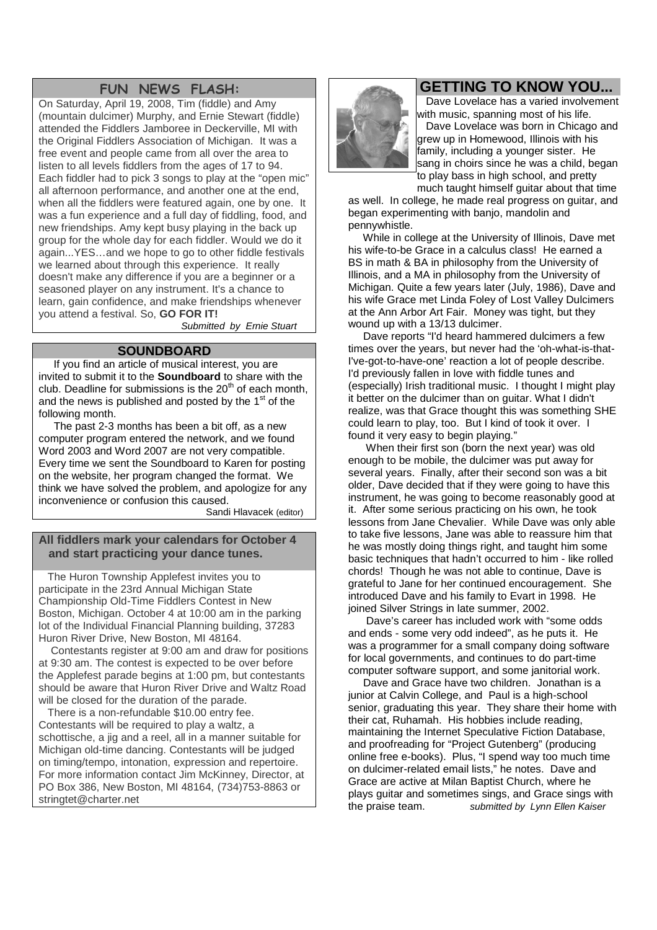## **FUN NEWS FLASH:**

On Saturday, April 19, 2008, Tim (fiddle) and Amy (mountain dulcimer) Murphy, and Ernie Stewart (fiddle) attended the Fiddlers Jamboree in Deckerville, MI with the Original Fiddlers Association of Michigan. It was a free event and people came from all over the area to listen to all levels fiddlers from the ages of 17 to 94. Each fiddler had to pick 3 songs to play at the "open mic" all afternoon performance, and another one at the end, when all the fiddlers were featured again, one by one. It was a fun experience and a full day of fiddling, food, and new friendships. Amy kept busy playing in the back up group for the whole day for each fiddler. Would we do it again...YES…and we hope to go to other fiddle festivals we learned about through this experience. It really doesn't make any difference if you are a beginner or a seasoned player on any instrument. It's a chance to learn, gain confidence, and make friendships whenever you attend a festival. So, **GO FOR IT!**

*Submitted by Ernie Stuart*

## **SOUNDBOARD**

If you find an article of musical interest, you are invited to submit it to the **Soundboard** to share with the club. Deadline for submissions is the  $20<sup>th</sup>$  of each month, and the news is published and posted by the  $1<sup>st</sup>$  of the following month.

The past 2-3 months has been a bit off, as a new computer program entered the network, and we found Word 2003 and Word 2007 are not very compatible. Every time we sent the Soundboard to Karen for posting on the website, her program changed the format. We think we have solved the problem, and apologize for any inconvenience or confusion this caused.

Sandi Hlavacek (editor)

## **All fiddlers mark your calendars for October 4 and start practicing your dance tunes.**

The Huron Township Applefest invites you to participate in the 23rd Annual Michigan State Championship Old-Time Fiddlers Contest in New Boston, Michigan. October 4 at 10:00 am in the parking lot of the Individual Financial Planning building, 37283 Huron River Drive, New Boston, MI 48164.

Contestants register at 9:00 am and draw for positions at 9:30 am. The contest is expected to be over before the Applefest parade begins at 1:00 pm, but contestants should be aware that Huron River Drive and Waltz Road will be closed for the duration of the parade.

There is a non-refundable \$10.00 entry fee. Contestants will be required to play a waltz, a schottische, a jig and a reel, all in a manner suitable for Michigan old-time dancing. Contestants will be judged on timing/tempo, intonation, expression and repertoire. For more information contact Jim McKinney, Director, at PO Box 386, New Boston, MI 48164, (734)753-8863 or stringtet@charter.net



Dave Lovelace has a varied involvement with music, spanning most of his life. Dave Lovelace was born in Chicago and grew up in Homewood, Illinois with his family, including a younger sister. He sang in choirs since he was a child, began to play bass in high school, and pretty much taught himself guitar about that time

as well. In college, he made real progress on guitar, and began experimenting with banjo, mandolin and pennywhistle.

While in college at the University of Illinois, Dave met his wife-to-be Grace in a calculus class! He earned a BS in math & BA in philosophy from the University of Illinois, and a MA in philosophy from the University of Michigan. Quite a few years later (July, 1986), Dave and his wife Grace met Linda Foley of Lost Valley Dulcimers at the Ann Arbor Art Fair. Money was tight, but they wound up with a 13/13 dulcimer.

Dave reports "I'd heard hammered dulcimers a few times over the years, but never had the 'oh-what-is-that-I've-got-to-have-one' reaction a lot of people describe. I'd previously fallen in love with fiddle tunes and (especially) Irish traditional music. I thought I might play it better on the dulcimer than on guitar. What I didn't realize, was that Grace thought this was something SHE could learn to play, too. But I kind of took it over. I found it very easy to begin playing."

When their first son (born the next year) was old enough to be mobile, the dulcimer was put away for several years. Finally, after their second son was a bit older, Dave decided that if they were going to have this instrument, he was going to become reasonably good at it. After some serious practicing on his own, he took lessons from Jane Chevalier. While Dave was only able to take five lessons, Jane was able to reassure him that he was mostly doing things right, and taught him some basic techniques that hadn't occurred to him - like rolled chords! Though he was not able to continue, Dave is grateful to Jane for her continued encouragement. She introduced Dave and his family to Evart in 1998. He joined Silver Strings in late summer, 2002.

Dave's career has included work with "some odds and ends - some very odd indeed", as he puts it. He was a programmer for a small company doing software for local governments, and continues to do part-time computer software support, and some janitorial work.

Dave and Grace have two children. Jonathan is a junior at Calvin College, and Paul is a high-school senior, graduating this year. They share their home with their cat, Ruhamah. His hobbies include reading, maintaining the Internet Speculative Fiction Database, and proofreading for "Project Gutenberg" (producing online free e-books). Plus, "I spend way too much time on dulcimer-related email lists," he notes. Dave and Grace are active at Milan Baptist Church, where he plays guitar and sometimes sings, and Grace sings with the praise team. *submitted by Lynn Ellen Kaiser*